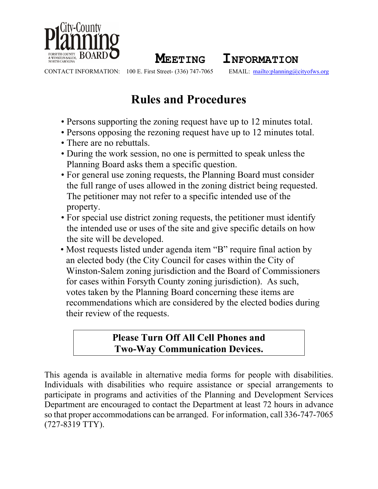

**MEETING INFORMATION**<br>100 E. First Street- (336) 747-7065 **EMAIL**: mailto:planning@

CONTACT INFORMATION: 100 E. First Street- (336) 747-7065 EMAIL: <mailto:planning@cityofws.org>

# **Rules and Procedures**

- Persons supporting the zoning request have up to 12 minutes total.
- Persons opposing the rezoning request have up to 12 minutes total.
- There are no rebuttals.
- During the work session, no one is permitted to speak unless the Planning Board asks them a specific question.
- For general use zoning requests, the Planning Board must consider the full range of uses allowed in the zoning district being requested. The petitioner may not refer to a specific intended use of the property.
- For special use district zoning requests, the petitioner must identify the intended use or uses of the site and give specific details on how the site will be developed.
- Most requests listed under agenda item "B" require final action by an elected body (the City Council for cases within the City of Winston-Salem zoning jurisdiction and the Board of Commissioners for cases within Forsyth County zoning jurisdiction). As such, votes taken by the Planning Board concerning these items are recommendations which are considered by the elected bodies during their review of the requests.

# **Please Turn Off All Cell Phones and Two-Way Communication Devices.**

This agenda is available in alternative media forms for people with disabilities. Individuals with disabilities who require assistance or special arrangements to participate in programs and activities of the Planning and Development Services Department are encouraged to contact the Department at least 72 hours in advance so that proper accommodations can be arranged. For information, call 336-747-7065 (727-8319 TTY).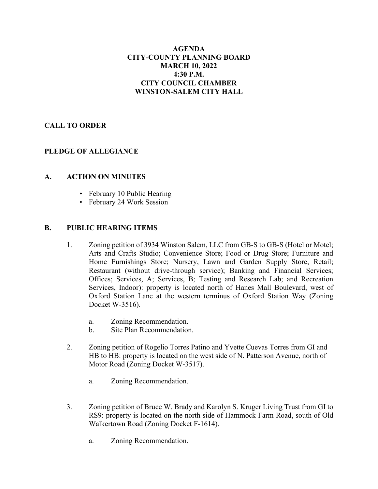#### **AGENDA CITY-COUNTY PLANNING BOARD MARCH 10, 2022 4:30 P.M. CITY COUNCIL CHAMBER WINSTON-SALEM CITY HALL**

# **CALL TO ORDER**

# **PLEDGE OF ALLEGIANCE**

#### **A. ACTION ON MINUTES**

- February 10 Public Hearing
- February 24 Work Session

#### **B. PUBLIC HEARING ITEMS**

- 1. Zoning petition of 3934 Winston Salem, LLC from GB-S to GB-S (Hotel or Motel; Arts and Crafts Studio; Convenience Store; Food or Drug Store; Furniture and Home Furnishings Store; Nursery, Lawn and Garden Supply Store, Retail; Restaurant (without drive-through service); Banking and Financial Services; Offices; Services, A; Services, B; Testing and Research Lab; and Recreation Services, Indoor): property is located north of Hanes Mall Boulevard, west of Oxford Station Lane at the western terminus of Oxford Station Way (Zoning Docket W-3516).
	- a. Zoning Recommendation.
	- b. Site Plan Recommendation.
- 2. Zoning petition of Rogelio Torres Patino and Yvette Cuevas Torres from GI and HB to HB: property is located on the west side of N. Patterson Avenue, north of Motor Road (Zoning Docket W-3517).
	- a. Zoning Recommendation.
- 3. Zoning petition of Bruce W. Brady and Karolyn S. Kruger Living Trust from GI to RS9: property is located on the north side of Hammock Farm Road, south of Old Walkertown Road (Zoning Docket F-1614).
	- a. Zoning Recommendation.